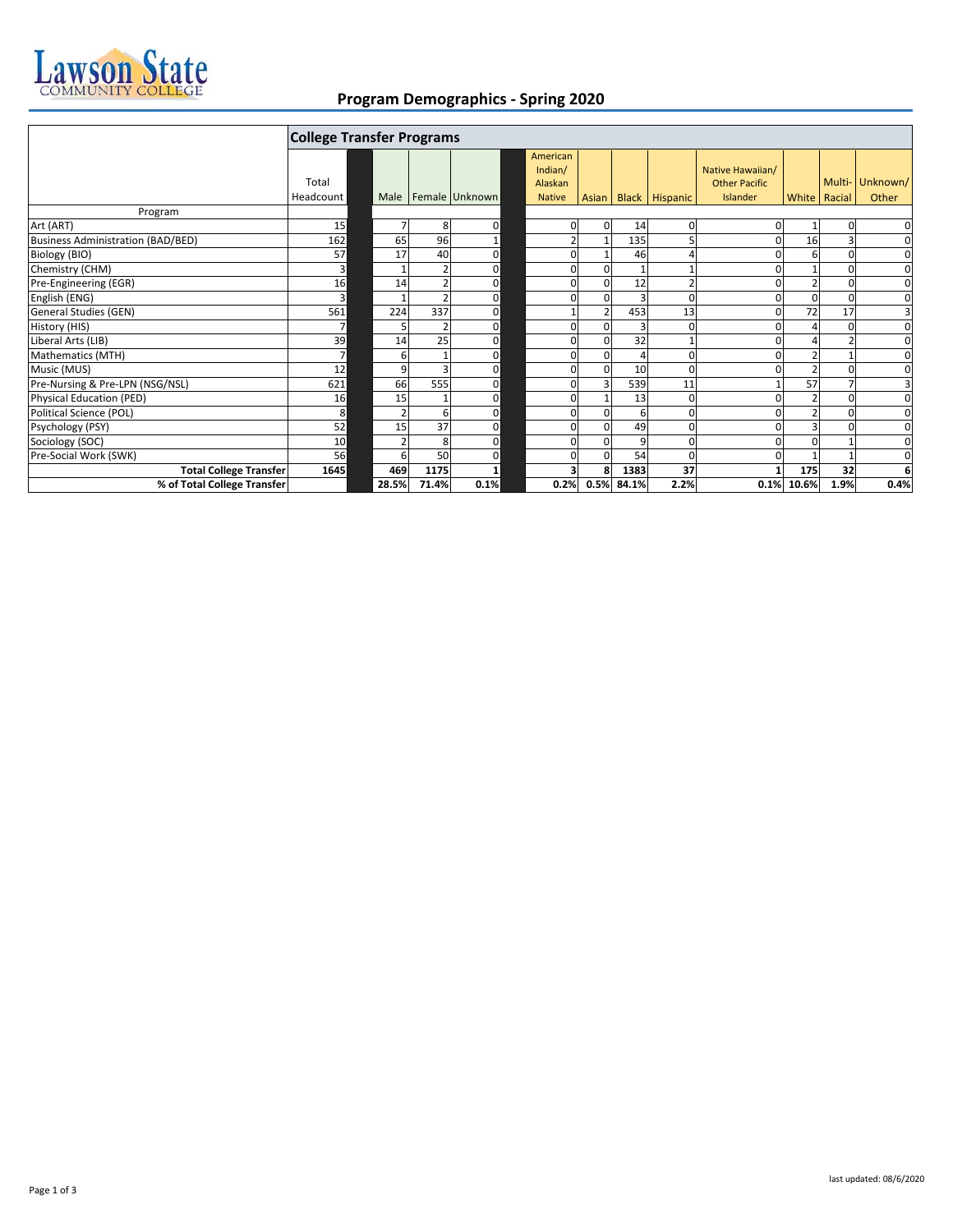

## **Program Demographics ‐ Spring 2020**

|                                          | <b>College Transfer Programs</b> |       |     |       |                         |  |                                |       |            |                |                                          |                |              |                 |
|------------------------------------------|----------------------------------|-------|-----|-------|-------------------------|--|--------------------------------|-------|------------|----------------|------------------------------------------|----------------|--------------|-----------------|
|                                          | Total                            |       |     |       |                         |  | American<br>Indian/<br>Alaskan |       |            |                | Native Hawaiian/<br><b>Other Pacific</b> |                |              | Multi- Unknown/ |
|                                          | Headcount                        |       |     |       | Male   Female   Unknown |  | <b>Native</b>                  | Asian |            | Black Hispanic | Islander                                 |                | White Racial | Other           |
| Program                                  |                                  |       |     |       |                         |  |                                |       |            |                |                                          |                |              |                 |
| Art (ART)                                | 15                               |       |     | 8     | $\mathbf 0$             |  | 0                              | 0     | 14         | $\mathbf 0$    |                                          |                |              | $\mathbf 0$     |
| <b>Business Administration (BAD/BED)</b> | 162                              |       | 65  | 96    |                         |  | $\overline{2}$                 |       | 135        | 5              |                                          | 16             | з            | $\mathbf 0$     |
| Biology (BIO)                            | 57                               |       | 17  | 40    | $\mathbf 0$             |  | $\Omega$                       |       | 46         | $\overline{a}$ |                                          | 6              | $\Omega$     | $\mathbf 0$     |
| Chemistry (CHM)                          | 3                                |       |     |       | $\mathbf 0$             |  | $\Omega$                       |       |            |                |                                          |                |              | 0               |
| Pre-Engineering (EGR)                    | 16                               |       | 14  |       | $\mathbf 0$             |  | $\Omega$                       |       | 12         | $\overline{2}$ |                                          | $\overline{2}$ | $\Omega$     | $\mathbf 0$     |
| English (ENG)                            | 3                                |       |     |       | $\mathbf 0$             |  | $\Omega$                       | U     |            | $\Omega$       |                                          | $\Omega$       | $\Omega$     | $\mathbf 0$     |
| General Studies (GEN)                    | 561                              |       | 224 | 337   | $\mathbf 0$             |  |                                |       | 453        | 13             |                                          | 72             | 17           | 3               |
| History (HIS)                            |                                  |       |     |       | 0                       |  | $\Omega$                       |       |            | 0              |                                          |                |              | $\mathbf 0$     |
| Liberal Arts (LIB)                       | 39                               |       | 14  | 25    | $\mathbf 0$             |  | $\Omega$                       |       | 32         |                |                                          |                |              | $\mathbf 0$     |
| Mathematics (MTH)                        | $\overline{7}$                   |       |     |       | $\mathbf 0$             |  | $\Omega$                       |       |            | 0              |                                          | $\overline{2}$ |              | $\mathbf 0$     |
| Music (MUS)                              | 12                               |       |     |       | $\mathbf 0$             |  | $\Omega$                       | U     | 10         | $\Omega$       |                                          | $\overline{2}$ | $\Omega$     | $\mathbf 0$     |
| Pre-Nursing & Pre-LPN (NSG/NSL)          | 621                              |       | 66  | 555   | $\mathbf 0$             |  | O                              |       | 539        | 11             |                                          | 57             |              | $\overline{3}$  |
| Physical Education (PED)                 | 16                               |       | 15  |       | $\mathbf 0$             |  | $\Omega$                       |       | 13         | $\mathbf 0$    |                                          |                | $\Omega$     | $\mathbf 0$     |
| Political Science (POL)                  | 8                                |       |     |       | 0                       |  | 0                              |       | 6          | $\mathbf 0$    |                                          | $\overline{2}$ |              | $\mathbf 0$     |
| Psychology (PSY)                         | 52                               |       | 15  | 37    | $\mathbf 0$             |  | $\Omega$                       |       | 49         | $\mathbf 0$    |                                          | 3              |              | $\mathbf 0$     |
| Sociology (SOC)                          | 10                               |       |     | 8     | 0                       |  | $\Omega$                       |       | q          | 0              |                                          | O              |              | 0               |
| Pre-Social Work (SWK)                    | 56                               |       |     | 50    | $\mathbf 0$             |  | $\Omega$                       |       | 54         | $\Omega$       |                                          |                |              | $\mathbf 0$     |
| <b>Total College Transfer</b>            | 1645                             |       | 469 | 1175  |                         |  | 3                              |       | 1383       | 37             |                                          | 175            | 32           | 6               |
| % of Total College Transfer              |                                  | 28.5% |     | 71.4% | 0.1%                    |  | 0.2%                           |       | 0.5% 84.1% | 2.2%           |                                          | 0.1% 10.6%     | 1.9%         | 0.4%            |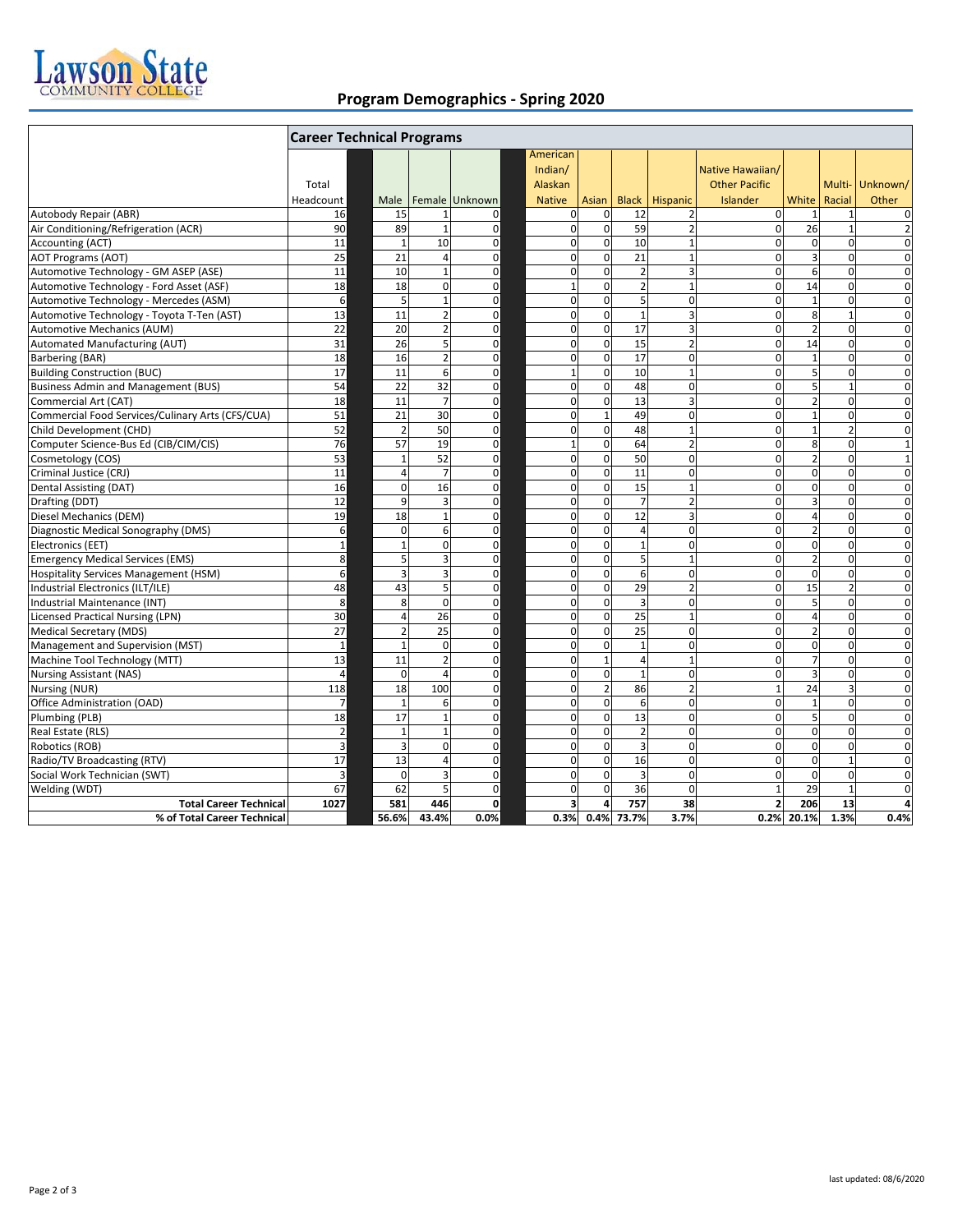

## **Program Demographics ‐ Spring 2020**

|                                                  | <b>Career Technical Programs</b> |  |                      |                    |                            |  |                                |                             |                |                                |                                          |                   |                             |                               |
|--------------------------------------------------|----------------------------------|--|----------------------|--------------------|----------------------------|--|--------------------------------|-----------------------------|----------------|--------------------------------|------------------------------------------|-------------------|-----------------------------|-------------------------------|
|                                                  | Total                            |  |                      |                    |                            |  | American<br>Indian/<br>Alaskan |                             |                |                                | Native Hawaiian/<br><b>Other Pacific</b> |                   |                             | Multi-Unknown/                |
|                                                  | Headcount                        |  | Male                 |                    | Female Unknown             |  | <b>Native</b>                  | Asian                       |                | <b>Black Hispanic</b>          | Islander                                 | White Racial      |                             | Other                         |
| Autobody Repair (ABR)                            | 16                               |  | 15                   | 1                  | 0                          |  | 0<br>$\mathbf 0$               | $\mathbf 0$                 | 12             | $\overline{2}$                 | $\mathbf 0$                              | $\mathbf{1}$      | $\mathbf{1}$                | 0                             |
| Air Conditioning/Refrigeration (ACR)             | 90                               |  | 89<br>$\overline{1}$ | $\mathbf{1}$<br>10 | $\mathbf 0$<br>$\mathbf 0$ |  | $\mathbf 0$                    | $\mathbf 0$<br>$\mathbf{0}$ | 59<br>10       | $\overline{2}$<br>$\mathbf{1}$ | $\mathbf{0}$<br>$\mathbf 0$              | 26<br>$\mathbf 0$ | $\mathbf{1}$<br>$\mathbf 0$ | $\overline{2}$<br>$\mathbf 0$ |
| <b>Accounting (ACT)</b>                          | 11                               |  |                      |                    |                            |  |                                |                             |                |                                |                                          |                   |                             |                               |
| <b>AOT Programs (AOT)</b>                        | 25                               |  | 21                   | $\overline{a}$     | $\mathbf 0$                |  | $\mathbf 0$                    | $\mathbf 0$                 | 21             | $\mathbf{1}$                   | $\mathbf 0$                              | $\overline{3}$    | $\mathbf 0$                 | $\mathbf 0$                   |
| Automotive Technology - GM ASEP (ASE)            | 11                               |  | 10                   | $\mathbf{1}$       | $\mathbf 0$                |  | 0                              | $\mathbf 0$                 | $\overline{2}$ | 3                              | $\mathbf 0$                              | 6                 | $\mathbf 0$                 | $\mathbf 0$                   |
| Automotive Technology - Ford Asset (ASF)         | 18                               |  | 18<br>E,             | $\mathbf 0$        | $\mathbf 0$                |  | $\mathbf 1$                    | $\mathbf 0$                 | $\overline{2}$ | $\mathbf{1}$                   | $\mathbf 0$                              | 14                | $\overline{0}$              | $\mathbf 0$                   |
| Automotive Technology - Mercedes (ASM)           | 6                                |  |                      | $\mathbf{1}$       | $\mathbf 0$                |  | $\overline{0}$                 | $\mathbf 0$                 | 5              | $\mathbf 0$                    | $\mathbf 0$                              | $\mathbf{1}$      | $\mathbf 0$                 | $\mathbf 0$                   |
| Automotive Technology - Toyota T-Ten (AST)       | 13                               |  | 11                   | $\overline{2}$     | $\mathbf 0$                |  | $\mathbf 0$                    | $\mathbf 0$                 | $\mathbf{1}$   | $\overline{3}$                 | $\mathbf 0$                              | 8                 | $\overline{1}$              | $\mathbf 0$                   |
| <b>Automotive Mechanics (AUM)</b>                | 22                               |  | 20                   | $\overline{2}$     | $\mathbf 0$                |  | $\mathbf 0$                    | $\mathbf 0$                 | 17             | $\overline{3}$                 | $\Omega$                                 | $\overline{2}$    | $\Omega$                    | $\mathbf 0$                   |
| Automated Manufacturing (AUT)                    | 31                               |  | 26                   | 5                  | $\mathbf 0$                |  | $\mathbf 0$                    | $\mathbf 0$                 | 15             | $\overline{2}$                 | $\mathbf 0$                              | 14                | $\Omega$                    | $\Omega$                      |
| Barbering (BAR)                                  | 18                               |  | 16                   | $\overline{2}$     | $\mathbf 0$                |  | $\mathbf 0$                    | $\mathbf 0$                 | 17             | $\Omega$                       | $\Omega$                                 | $\overline{1}$    | $\Omega$                    | $\overline{0}$                |
| <b>Building Construction (BUC)</b>               | 17                               |  | 11                   | 6                  | $\mathbf 0$                |  | $\mathbf{1}$                   | $\mathbf 0$                 | 10             | $\mathbf{1}$                   | $\mathbf 0$                              | 5                 | $\Omega$                    | $\mathbf 0$                   |
| <b>Business Admin and Management (BUS)</b>       | 54                               |  | 22                   | 32                 | $\mathbf 0$                |  | $\mathbf 0$                    | $\mathbf 0$                 | 48             | $\mathbf 0$                    | $\mathbf 0$                              | 5                 | $\overline{1}$              | $\overline{0}$                |
| Commercial Art (CAT)                             | 18                               |  | 11                   | $\overline{7}$     | $\mathbf 0$                |  | $\mathbf 0$                    | $\mathbf 0$                 | 13             | $\overline{3}$                 | $\mathbf 0$                              | $\overline{2}$    | $\mathbf 0$                 | $\mathbf 0$                   |
| Commercial Food Services/Culinary Arts (CFS/CUA) | 51                               |  | 21                   | 30                 | $\mathbf 0$                |  | $\mathbf 0$                    | $1\overline{ }$             | 49             | $\mathbf 0$                    | $\mathbf 0$                              | $\mathbf{1}$      | $\mathbf 0$                 | $\mathbf 0$                   |
| Child Development (CHD)                          | 52                               |  | $\overline{2}$       | 50                 | $\mathbf 0$                |  | $\mathbf 0$                    | $\mathbf{0}$                | 48             | $\mathbf{1}$                   | $\Omega$                                 | $\mathbf{1}$      | $\overline{2}$              | $\mathbf 0$                   |
| Computer Science-Bus Ed (CIB/CIM/CIS)            | 76                               |  | 57                   | 19                 | $\mathbf 0$                |  | $\mathbf{1}$                   | $\mathbf 0$                 | 64             | $\overline{2}$                 | $\Omega$                                 | 8                 | $\Omega$                    | $\mathbf{1}$                  |
| Cosmetology (COS)                                | 53                               |  | $\overline{1}$       | 52                 | $\mathbf 0$                |  | $\overline{0}$                 | $\mathbf 0$                 | 50             | $\Omega$                       | $\Omega$                                 | $\overline{2}$    | $\Omega$                    | $\mathbf{1}$                  |
| Criminal Justice (CRJ)                           | 11                               |  | $\Delta$             | $\overline{7}$     | $\mathbf 0$                |  | $\mathbf 0$                    | $\mathbf 0$                 | 11             | $\mathbf 0$                    | $\mathbf 0$                              | $\mathbf 0$       | $\mathbf 0$                 | $\mathbf 0$                   |
| Dental Assisting (DAT)                           | 16                               |  | $\Omega$             | 16                 | $\mathbf 0$                |  | $\mathbf 0$                    | $\mathbf 0$                 | 15             | $\mathbf{1}$                   | 0                                        | $\mathbf 0$       | $\mathbf 0$                 | $\mathbf 0$                   |
| Drafting (DDT)                                   | 12                               |  | 9                    | 3                  | $\mathbf 0$                |  | 0                              | $\mathbf 0$                 | $\overline{7}$ | $\overline{2}$                 | $\mathbf 0$                              | 3                 | $\mathbf 0$                 | 0                             |
| Diesel Mechanics (DEM)                           | 19                               |  | 18                   | $\mathbf{1}$       | $\mathbf 0$                |  | $\mathbf 0$                    | $\mathbf 0$                 | 12             | $\overline{3}$                 | $\mathbf 0$                              | $\overline{4}$    | $\mathbf 0$                 | $\mathbf 0$                   |
| Diagnostic Medical Sonography (DMS)              | 6                                |  | $\Omega$             | 6                  | $\mathbf 0$                |  | $\mathbf 0$                    | $\mathbf 0$                 | 4              | $\mathbf 0$                    | $\mathbf 0$                              | $\overline{2}$    | $\mathbf 0$                 | $\mathbf 0$                   |
| Electronics (EET)                                | $\mathbf 1$                      |  |                      | $\Omega$           | $\mathbf 0$                |  | $\mathbf 0$                    | $\mathbf 0$                 | 1              | $\mathbf 0$                    | $\Omega$                                 | $\Omega$          | $\Omega$                    | $\mathbf 0$                   |
| <b>Emergency Medical Services (EMS)</b>          | 8                                |  | д                    | 3                  | $\mathbf 0$                |  | 0                              | $\mathbf 0$                 | 5              | $\mathbf{1}$                   | $\mathbf 0$                              | $\overline{2}$    | $\mathbf 0$                 | $\mathbf 0$                   |
| <b>Hospitality Services Management (HSM)</b>     | 6                                |  |                      | 3                  | $\mathbf 0$                |  | $\mathbf 0$                    | $\mathbf 0$                 | 6              | $\mathbf 0$                    | $\mathbf 0$                              | $\mathbf 0$       | $\mathbf 0$                 | $\mathbf 0$                   |
| Industrial Electronics (ILT/ILE)                 | 48                               |  | 43                   | 5                  | $\mathbf 0$                |  | 0                              | $\mathbf 0$                 | 29             | $\overline{2}$                 | 0                                        | 15                | $\overline{2}$              | $\mathbf 0$                   |
| Industrial Maintenance (INT)                     | 8                                |  | 8                    | $\mathbf 0$        | $\mathbf 0$                |  | 0                              | $\mathbf 0$                 | 3              | $\pmb{0}$                      | $\mathbf 0$                              | 5                 | $\mathbf 0$                 | $\mathbf 0$                   |
| <b>Licensed Practical Nursing (LPN)</b>          | 30                               |  | $\Delta$             | 26                 | $\mathbf 0$                |  | $\mathbf 0$                    | $\mathbf{0}$                | 25             | $\mathbf{1}$                   | $\overline{0}$                           | $\overline{4}$    | $\mathbf 0$                 | $\mathbf 0$                   |
| Medical Secretary (MDS)                          | 27                               |  | 2                    | 25                 | $\mathbf 0$                |  | $\mathbf 0$                    | $\mathbf 0$                 | 25             | $\mathbf 0$                    | $\mathbf 0$                              | $\overline{2}$    | $\mathbf 0$                 | $\mathbf 0$                   |
| Management and Supervision (MST)                 | $\mathbf{1}$                     |  | $\mathbf{1}$         | $\mathbf 0$        | $\mathbf 0$                |  | $\mathbf 0$                    | $\mathbf 0$                 | $\mathbf{1}$   | $\mathbf 0$                    | $\mathbf 0$                              | $\mathbf 0$       | $\mathbf 0$                 | $\mathbf 0$                   |
| Machine Tool Technology (MTT)                    | 13                               |  | 11                   | $\overline{2}$     | $\mathbf 0$                |  | $\mathbf 0$                    | $1\overline{ }$             | 4              | $\mathbf{1}$                   | $\mathbf{0}$                             | $\overline{7}$    | $\mathbf 0$                 | $\mathbf 0$                   |
| <b>Nursing Assistant (NAS)</b>                   | $\overline{4}$                   |  | $\Omega$             | 4                  | $\mathbf 0$                |  | $\overline{0}$                 | $\mathbf 0$                 | $\mathbf{1}$   | $\mathbf 0$                    | $\mathbf 0$                              | $\overline{3}$    | $\overline{0}$              | $\mathbf 0$                   |
| Nursing (NUR)                                    | 118                              |  | 18                   | 100                | $\mathbf 0$                |  | $\mathbf 0$                    | $\overline{2}$              | 86             | $\overline{2}$                 | $\mathbf{1}$                             | 24                | $\overline{3}$              | $\mathbf 0$                   |
| Office Administration (OAD)                      | $\overline{7}$                   |  | $\overline{1}$       | 6                  | $\mathbf 0$                |  | $\mathbf 0$                    | $\mathbf 0$                 | 6              | $\mathbf 0$                    | $\Omega$                                 | $\mathbf{1}$      | $\Omega$                    | $\mathbf 0$                   |
| Plumbing (PLB)                                   | 18                               |  | 17                   | $\mathbf{1}$       | $\mathbf 0$                |  | $\mathbf 0$                    | $\mathbf 0$                 | 13             | $\mathbf 0$                    | $\mathbf 0$                              | 5                 | $\mathbf 0$                 | $\mathbf 0$                   |
| Real Estate (RLS)                                | $\mathbf 2$                      |  | $\overline{1}$       |                    | $\mathbf 0$                |  | $\Omega$                       | $\Omega$                    | $\overline{2}$ | $\Omega$                       | $\Omega$                                 | $\Omega$          | $\Omega$                    | $\Omega$                      |
| Robotics (ROB)                                   | 3                                |  | Р                    | $\Omega$           | $\mathbf 0$                |  | $\mathbf 0$                    | $\Omega$                    | 3              | $\Omega$                       | $\Omega$                                 | $\mathbf 0$       | $\Omega$                    | $\Omega$                      |
| Radio/TV Broadcasting (RTV)                      | 17                               |  | 13                   | 4                  | $\mathbf 0$                |  | $\Omega$                       | $\mathbf 0$                 | 16             | $\Omega$                       | $\Omega$                                 | $\mathbf 0$       | $\overline{1}$              | $\Omega$                      |
| Social Work Technician (SWT)                     | $\overline{3}$                   |  | $\Omega$             | 3                  | $\mathbf 0$                |  | $\mathbf 0$                    | $\mathbf 0$                 | 3              | $\Omega$                       | $\mathbf 0$                              | $\mathbf 0$       | $\overline{0}$              | $\mathbf 0$                   |
| Welding (WDT)                                    | 67                               |  | 62                   | 5                  | $\mathbf 0$                |  | $\mathbf 0$                    | $\Omega$                    | 36             | $\mathbf 0$                    | $\mathbf{1}$                             | 29                | $\overline{1}$              | $\overline{0}$                |
| <b>Total Career Technical</b>                    | 1027                             |  | 581                  | 446                | $\mathbf{0}$               |  | 3                              | $\overline{a}$              | 757            | 38                             | $\overline{2}$                           | 206               | 13                          | 4                             |
| % of Total Career Technical                      |                                  |  | 56.6%                | 43.4%              | 0.0%                       |  | 0.3%                           |                             | 0.4% 73.7%     | 3.7%                           |                                          | 0.2% 20.1%        | 1.3%                        | 0.4%                          |